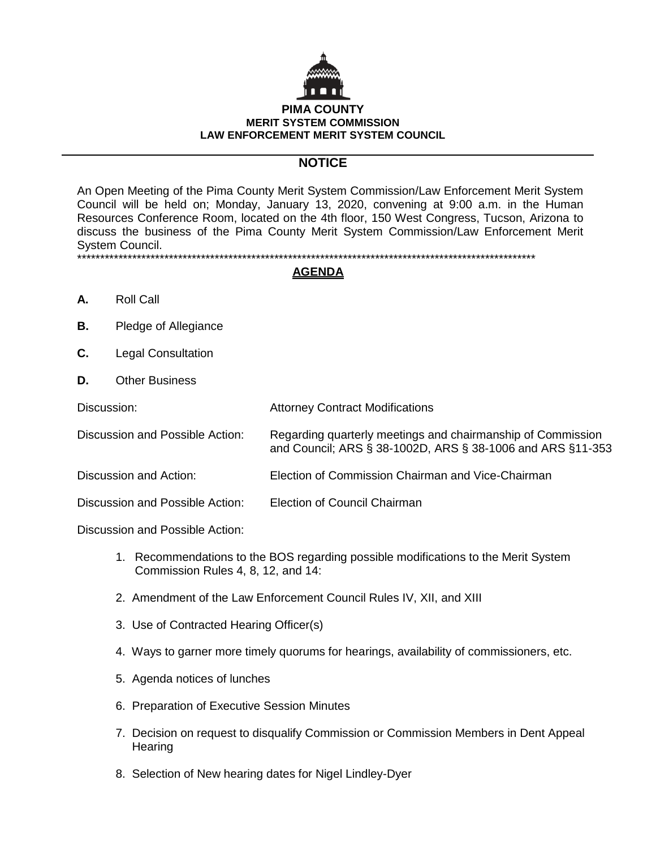

# **NOTICE**

An Open Meeting of the Pima County Merit System Commission/Law Enforcement Merit System Council will be held on; Monday, January 13, 2020, convening at 9:00 a.m. in the Human Resources Conference Room, located on the 4th floor, 150 West Congress, Tucson, Arizona to discuss the business of the Pima County Merit System Commission/Law Enforcement Merit System Council. \*\*\*\*\*\*\*\*\*\*\*\*\*\*\*\*\*\*\*\*\*\*\*\*\*\*\*\*\*\*\*\*\*\*\*\*\*\*\*\*\*\*\*\*\*\*\*\*\*\*\*\*\*\*\*\*\*\*\*\*\*\*\*\*\*\*\*\*\*\*\*\*\*\*\*\*\*\*\*\*\*\*\*\*\*\*\*\*\*\*\*\*\*\*\*\*\*\*\*\*

## **AGENDA**

- **A.** Roll Call
- **B.** Pledge of Allegiance
- **C.** Legal Consultation
- **D.** Other Business

| Discussion: |  |  |  | <b>Attorney Contract Modifications</b> |  |  |  |  |  |  |  |
|-------------|--|--|--|----------------------------------------|--|--|--|--|--|--|--|
|             |  |  |  |                                        |  |  |  |  |  |  |  |

- Discussion and Possible Action: Regarding quarterly meetings and chairmanship of Commission and Council; ARS § 38-1002D, ARS § 38-1006 and ARS §11-353
- Discussion and Action: Election of Commission Chairman and Vice-Chairman

Discussion and Possible Action: Election of Council Chairman

Discussion and Possible Action:

- 1. Recommendations to the BOS regarding possible modifications to the Merit System Commission Rules 4, 8, 12, and 14:
- 2. Amendment of the Law Enforcement Council Rules IV, XII, and XIII
- 3. Use of Contracted Hearing Officer(s)
- 4. Ways to garner more timely quorums for hearings, availability of commissioners, etc.
- 5. Agenda notices of lunches
- 6. Preparation of Executive Session Minutes
- 7. Decision on request to disqualify Commission or Commission Members in Dent Appeal **Hearing**
- 8. Selection of New hearing dates for Nigel Lindley-Dyer